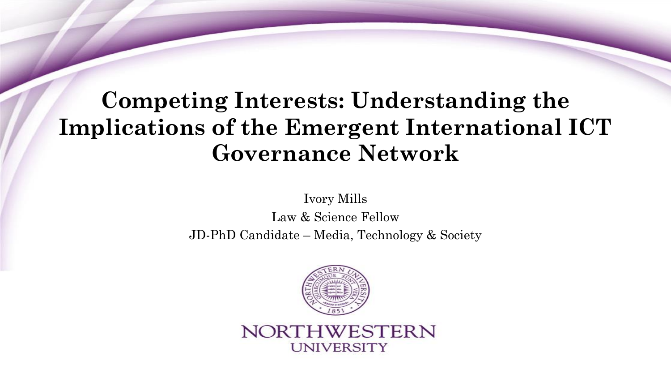# **Competing Interests: Understanding the Implications of the Emergent International ICT Governance Network**

Ivory Mills

Law & Science Fellow JD-PhD Candidate – Media, Technology & Society



NORTHWESTERN **UNIVERSITY**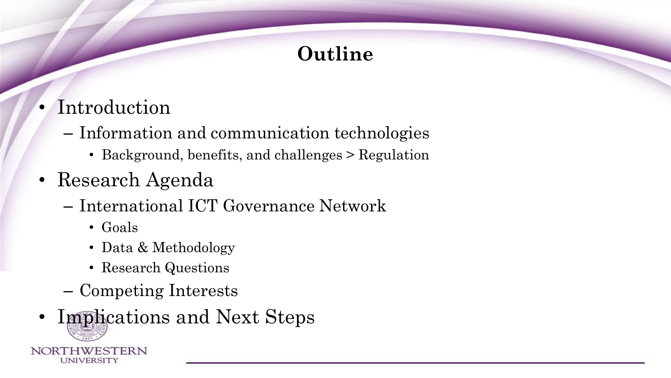# **Outline**

- Introduction
	- Information and communication technologies
		- Background, benefits, and challenges > Regulation
- Research Agenda
	- International ICT Governance Network
		- Goals
		- Data & Methodology
		- Research Questions
	- Competing Interests
- Implications and Next Steps NORTHWESTERN UNIVERSITY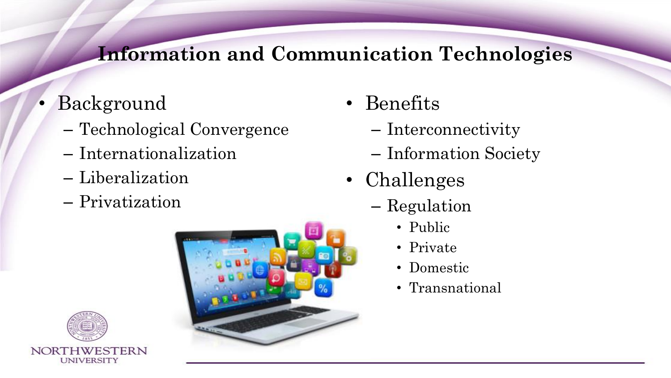# **Information and Communication Technologies**

- Background
	- Technological Convergence
	- Internationalization
	- Liberalization
	- Privatization



- Benefits
	- Interconnectivity
	- Information Society
- Challenges
	- Regulation
		- Public
		- Private
		- Domestic
		- Transnational

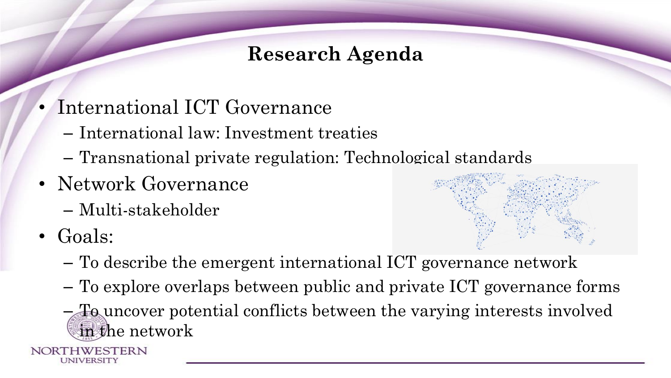# **Research Agenda**

- International ICT Governance
	- International law: Investment treaties
	- Transnational private regulation: Technological standards
- Network Governance
	- Multi-stakeholder
- Goals:
	- To describe the emergent international ICT governance network
	- To explore overlaps between public and private ICT governance forms
	- To uncover potential conflicts between the varying interests involved in the network

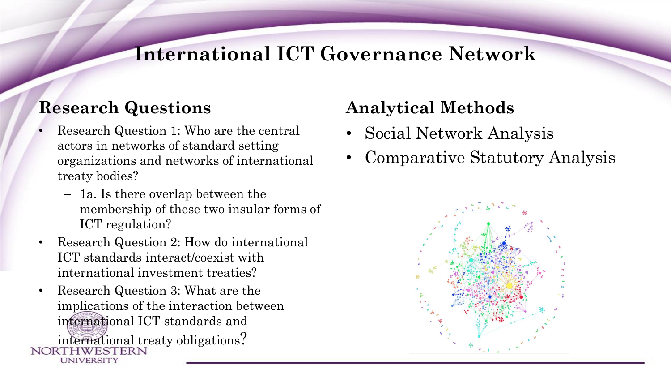#### **International ICT Governance Network**

#### **Research Questions**

- Research Question 1: Who are the central actors in networks of standard setting organizations and networks of international treaty bodies?
	- 1a. Is there overlap between the membership of these two insular forms of ICT regulation?
- Research Question 2: How do international ICT standards interact/coexist with international investment treaties?
- Research Question 3: What are the implications of the interaction between international ICT standards and international treaty obligations? UNIVERSITY

# **Analytical Methods**

- Social Network Analysis
- Comparative Statutory Analysis

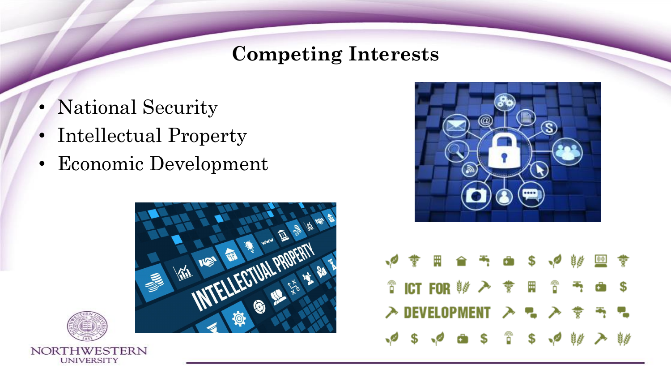#### **Competing Interests**

- National Security
- Intellectual Property
- Economic Development







|  | ◆ 李田合西 由 \$ ◆ 够 四 孝                                                         |  |  |  |  |
|--|-----------------------------------------------------------------------------|--|--|--|--|
|  |                                                                             |  |  |  |  |
|  | $\lambda$ DEVELOPMENT $\lambda$ , $\lambda$ , $\frac{1}{2}$ , $\frac{1}{2}$ |  |  |  |  |
|  | 中 \$ 中 由 \$ 音 \$ 中 样 入 样                                                    |  |  |  |  |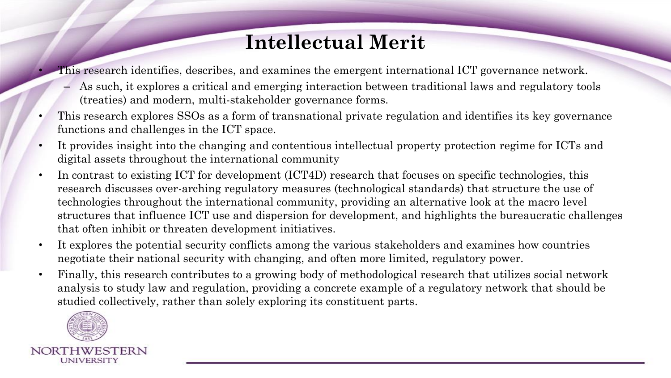## **Intellectual Merit**

• This research identifies, describes, and examines the emergent international ICT governance network.

- As such, it explores a critical and emerging interaction between traditional laws and regulatory tools (treaties) and modern, multi-stakeholder governance forms.
- This research explores SSOs as a form of transnational private regulation and identifies its key governance functions and challenges in the ICT space.
- It provides insight into the changing and contentious intellectual property protection regime for ICTs and digital assets throughout the international community
- In contrast to existing ICT for development (ICT4D) research that focuses on specific technologies, this research discusses over-arching regulatory measures (technological standards) that structure the use of technologies throughout the international community, providing an alternative look at the macro level structures that influence ICT use and dispersion for development, and highlights the bureaucratic challenges that often inhibit or threaten development initiatives.
- It explores the potential security conflicts among the various stakeholders and examines how countries negotiate their national security with changing, and often more limited, regulatory power.
- Finally, this research contributes to a growing body of methodological research that utilizes social network analysis to study law and regulation, providing a concrete example of a regulatory network that should be studied collectively, rather than solely exploring its constituent parts.